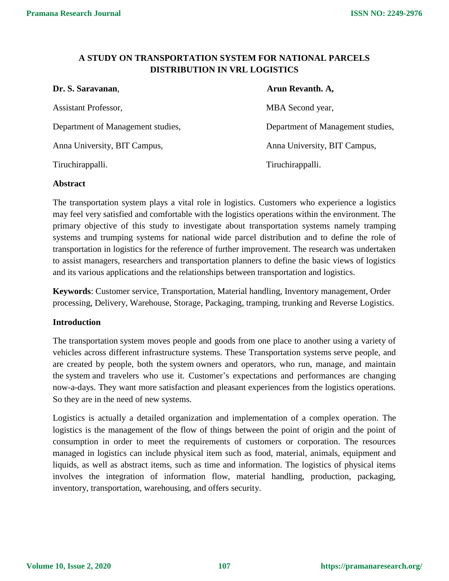# **A STUDY ON TRANSPORTATION SYSTEM FOR NATIONAL PARCELS DISTRIBUTION IN VRL LOGISTICS**

| Dr. S. Saravanan,                 | Arun Revanth. A,                  |
|-----------------------------------|-----------------------------------|
| Assistant Professor,              | MBA Second year,                  |
| Department of Management studies, | Department of Management studies, |
| Anna University, BIT Campus,      | Anna University, BIT Campus,      |
| Tiruchirappalli.                  | Tiruchirappalli.                  |

#### **Abstract**

The transportation system plays a vital role in logistics. Customers who experience a logistics may feel very satisfied and comfortable with the logistics operations within the environment. The primary objective of this study to investigate about transportation systems namely tramping systems and trumping systems for national wide parcel distribution and to define the role of transportation in logistics for the reference of further improvement. The research was undertaken to assist managers, researchers and transportation planners to define the basic views of logistics and its various applications and the relationships between transportation and logistics.

**Keywords**: Customer service, Transportation, Material handling, Inventory management, Order processing, Delivery, Warehouse, Storage, Packaging, tramping, trunking and Reverse Logistics.

#### **Introduction**

The transportation system moves people and goods from one place to another using a variety of vehicles across different infrastructure systems. These Transportation systems serve people, and are created by people, both the system owners and operators, who run, manage, and maintain the system and travelers who use it. Customer's expectations and performances are changing now-a-days. They want more satisfaction and pleasant experiences from the logistics operations. So they are in the need of new systems.

Logistics is actually a detailed organization and implementation of a complex operation. The logistics is the management of the flow of things between the point of origin and the point of consumption in order to meet the requirements of customers or corporation. The resources managed in logistics can include physical item such as food, material, animals, equipment and liquids, as well as abstract items, such as time and information. The logistics of physical items involves the integration of information flow, material handling, production, packaging, inventory, transportation, warehousing, and offers security.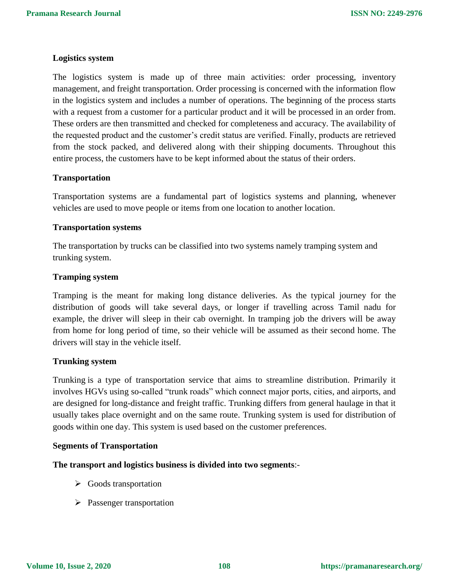#### **Logistics system**

The logistics system is made up of three main activities: order processing, inventory management, and freight transportation. Order processing is concerned with the information flow in the logistics system and includes a number of operations. The beginning of the process starts with a request from a customer for a particular product and it will be processed in an order from. These orders are then transmitted and checked for completeness and accuracy. The availability of the requested product and the customer's credit status are verified. Finally, products are retrieved from the stock packed, and delivered along with their shipping documents. Throughout this entire process, the customers have to be kept informed about the status of their orders.

#### **Transportation**

Transportation systems are a fundamental part of logistics systems and planning, whenever vehicles are used to move people or items from one location to another location.

#### **Transportation systems**

The transportation by trucks can be classified into two systems namely tramping system and trunking system.

#### **Tramping system**

Tramping is the meant for making long distance deliveries. As the typical journey for the distribution of goods will take several days, or longer if travelling across Tamil nadu for example, the driver will sleep in their cab overnight. In tramping job the drivers will be away from home for long period of time, so their vehicle will be assumed as their second home. The drivers will stay in the vehicle itself.

#### **Trunking system**

Trunking is a type of transportation service that aims to streamline distribution. Primarily it involves HGVs using so-called "trunk roads" which connect major ports, cities, and airports, and are designed for long-distance and freight traffic. Trunking differs from general haulage in that it usually takes place overnight and on the same route. Trunking system is used for distribution of goods within one day. This system is used based on the customer preferences.

#### **Segments of Transportation**

**The transport and logistics business is divided into two segments**:-

- $\triangleright$  Goods transportation
- $\triangleright$  Passenger transportation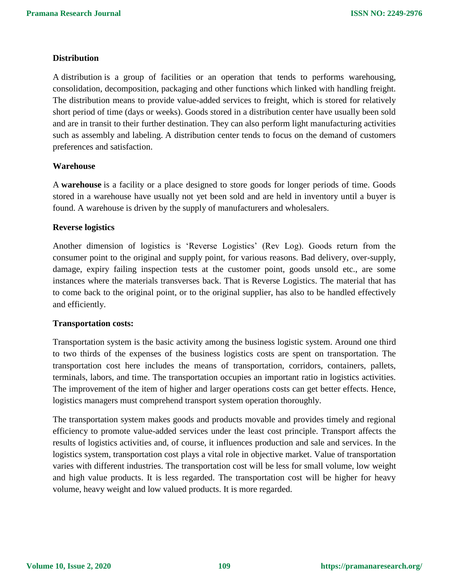## **Distribution**

A distribution is a group of facilities or an operation that tends to performs warehousing, consolidation, decomposition, packaging and other functions which linked with handling freight. The distribution means to provide value-added services to freight, which is stored for relatively short period of time (days or weeks). Goods stored in a distribution center have usually been sold and are in transit to their further destination. They can also perform light manufacturing activities such as assembly and labeling. A distribution center tends to focus on the demand of customers preferences and satisfaction.

## **Warehouse**

A **warehouse** is a facility or a place designed to store goods for longer periods of time. Goods stored in a warehouse have usually not yet been sold and are held in inventory until a buyer is found. A warehouse is driven by the supply of manufacturers and wholesalers.

#### **Reverse logistics**

Another dimension of logistics is 'Reverse Logistics' (Rev Log). Goods return from the consumer point to the original and supply point, for various reasons. Bad delivery, over-supply, damage, expiry failing inspection tests at the customer point, goods unsold etc., are some instances where the materials transverses back. That is Reverse Logistics. The material that has to come back to the original point, or to the original supplier, has also to be handled effectively and efficiently.

#### **Transportation costs:**

Transportation system is the basic activity among the business logistic system. Around one third to two thirds of the expenses of the business logistics costs are spent on transportation. The transportation cost here includes the means of transportation, corridors, containers, pallets, terminals, labors, and time. The transportation occupies an important ratio in logistics activities. The improvement of the item of higher and larger operations costs can get better effects. Hence, logistics managers must comprehend transport system operation thoroughly.

The transportation system makes goods and products movable and provides timely and regional efficiency to promote value-added services under the least cost principle. Transport affects the results of logistics activities and, of course, it influences production and sale and services. In the logistics system, transportation cost plays a vital role in objective market. Value of transportation varies with different industries. The transportation cost will be less for small volume, low weight and high value products. It is less regarded. The transportation cost will be higher for heavy volume, heavy weight and low valued products. It is more regarded.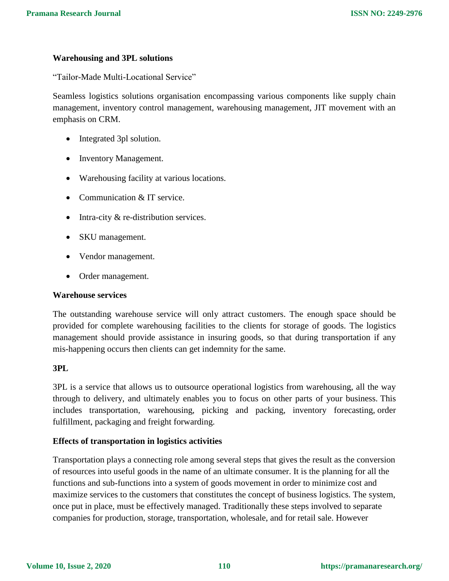#### **Warehousing and 3PL solutions**

"Tailor-Made Multi-Locational Service"

Seamless logistics solutions organisation encompassing various components like supply chain management, inventory control management, warehousing management, JIT movement with an emphasis on CRM.

- Integrated 3pl solution.
- Inventory Management.
- Warehousing facility at various locations.
- Communication & IT service.
- $\bullet$  Intra-city & re-distribution services.
- SKU management.
- Vendor management.
- Order management.

#### **Warehouse services**

The outstanding warehouse service will only attract customers. The enough space should be provided for complete warehousing facilities to the clients for storage of goods. The logistics management should provide assistance in insuring goods, so that during transportation if any mis-happening occurs then clients can get indemnity for the same.

#### **3PL**

3PL is a service that allows us to outsource operational logistics from warehousing, all the way through to delivery, and ultimately enables you to focus on other parts of your business. This includes transportation, warehousing, picking and packing, inventory forecasting, [order](https://www.tradegecko.com/blog/5-ways-online-order-management-fulfillment-can-improve-wholesale-business)  [fulfillment,](https://www.tradegecko.com/blog/5-ways-online-order-management-fulfillment-can-improve-wholesale-business) packaging and freight forwarding.

## **Effects of transportation in logistics activities**

Transportation plays a connecting role among several steps that gives the result as the conversion of resources into useful goods in the name of an ultimate consumer. It is the planning for all the functions and sub-functions into a system of goods movement in order to minimize cost and maximize services to the customers that constitutes the concept of business logistics. The system, once put in place, must be effectively managed. Traditionally these steps involved to separate companies for production, storage, transportation, wholesale, and for retail sale. However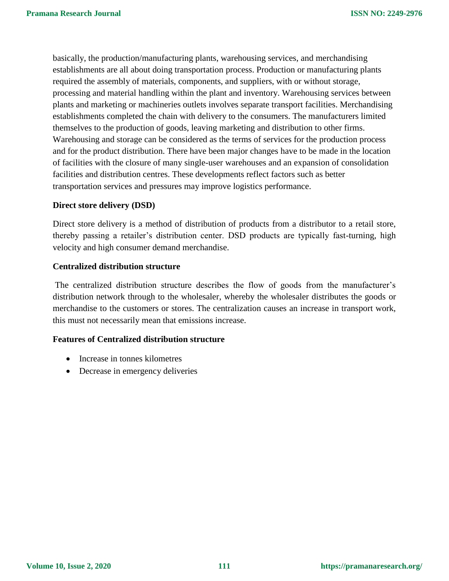basically, the production/manufacturing plants, warehousing services, and merchandising establishments are all about doing transportation process. Production or manufacturing plants required the assembly of materials, components, and suppliers, with or without storage, processing and material handling within the plant and inventory. Warehousing services between plants and marketing or machineries outlets involves separate transport facilities. Merchandising establishments completed the chain with delivery to the consumers. The manufacturers limited themselves to the production of goods, leaving marketing and distribution to other firms. Warehousing and storage can be considered as the terms of services for the production process and for the product distribution. There have been major changes have to be made in the location of facilities with the closure of many single-user warehouses and an expansion of consolidation facilities and distribution centres. These developments reflect factors such as better transportation services and pressures may improve logistics performance.

#### **Direct store delivery (DSD)**

Direct store delivery is a method of distribution of products from a distributor to a retail store, thereby passing a retailer's distribution center. DSD products are typically fast-turning, high velocity and high consumer demand merchandise.

#### **Centralized distribution structure**

The centralized distribution structure describes the flow of goods from the manufacturer's distribution network through to the wholesaler, whereby the wholesaler distributes the goods or merchandise to the customers or stores. The centralization causes an increase in transport work, this must not necessarily mean that emissions increase.

#### **Features of Centralized distribution structure**

- Increase in tonnes kilometres
- Decrease in emergency deliveries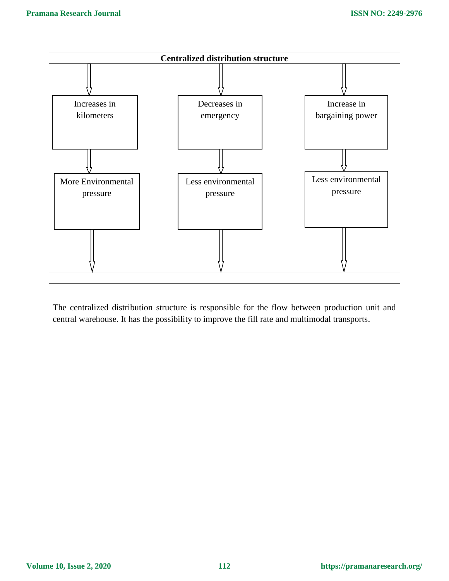

The centralized distribution structure is responsible for the flow between production unit and central warehouse. It has the possibility to improve the fill rate and multimodal transports.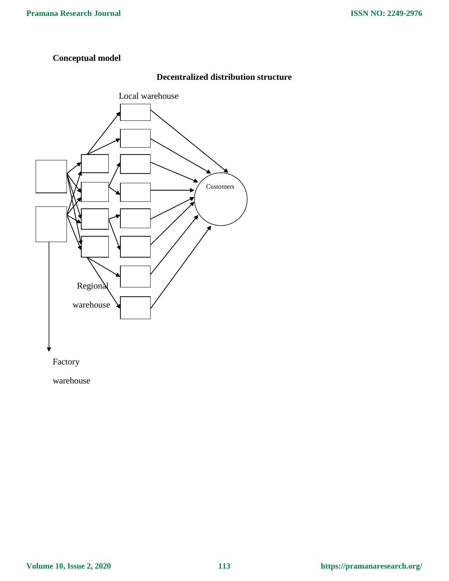# **Conceptual model**

# **Decentralized distribution structure**



warehouse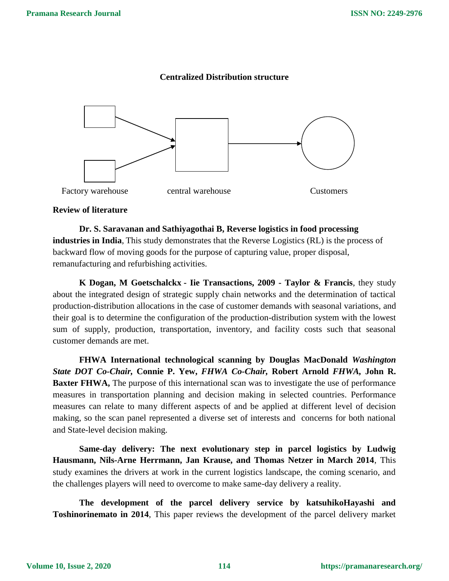

# **Centralized Distribution structure**

# **Review of literature**

**Dr. S. Saravanan and Sathiyagothai B, Reverse logistics in food processing industries in India**, This study demonstrates that the Reverse Logistics (RL) is the process of backward flow of moving goods for the purpose of capturing value, proper disposal, remanufacturing and refurbishing activities.

**K Dogan, M Goetschalckx - Iie Transactions, 2009 - Taylor & Francis**, they study about the integrated design of strategic supply chain networks and the determination of tactical production-distribution allocations in the case of customer demands with seasonal variations, and their goal is to determine the configuration of the production-distribution system with the lowest sum of supply, production, transportation, inventory, and facility costs such that seasonal customer demands are met.

**FHWA International technological scanning by Douglas MacDonald** *Washington State DOT Co-Chair,* **Connie P. Yew,** *FHWA Co-Chair,* **Robert Arnold** *FHWA,* **John R. Baxter FHWA,** The purpose of this international scan was to investigate the use of performance measures in transportation planning and decision making in selected countries. Performance measures can relate to many different aspects of and be applied at different level of decision making, so the scan panel represented a diverse set of interests and concerns for both national and State-level decision making.

**Same-day delivery: The next evolutionary step in parcel logistics by Ludwig Hausmann, Nils-Arne Herrmann, Jan Krause, and Thomas Netzer in March 2014**, This study examines the drivers at work in the current logistics landscape, the coming scenario, and the challenges players will need to overcome to make same-day delivery a reality.

**The development of the parcel delivery service by katsuhikoHayashi and Toshinorinemato in 2014**, This paper reviews the development of the parcel delivery market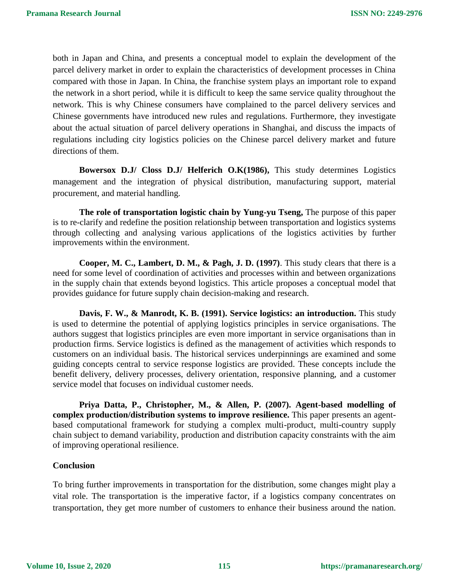both in Japan and China, and presents a conceptual model to explain the development of the parcel delivery market in order to explain the characteristics of development processes in China compared with those in Japan. In China, the franchise system plays an important role to expand the network in a short period, while it is difficult to keep the same service quality throughout the network. This is why Chinese consumers have complained to the parcel delivery services and Chinese governments have introduced new rules and regulations. Furthermore, they investigate about the actual situation of parcel delivery operations in Shanghai, and discuss the impacts of regulations including city logistics policies on the Chinese parcel delivery market and future directions of them.

**Bowersox D.J/ Closs D.J/ Helferich O.K(1986),** This study determines Logistics management and the integration of physical distribution, manufacturing support, material procurement, and material handling.

**The role of transportation logistic chain by Yung-yu Tseng,** The purpose of this paper is to re-clarify and redefine the position relationship between transportation and logistics systems through collecting and analysing various applications of the logistics activities by further improvements within the environment.

**Cooper, M. C., Lambert, D. M., & Pagh, J. D. (1997)**. This study clears that there is a need for some level of coordination of activities and processes within and between organizations in the supply chain that extends beyond logistics. This article proposes a conceptual model that provides guidance for future supply chain decision-making and research.

**Davis, F. W., & Manrodt, K. B. (1991). Service logistics: an introduction.** This study is used to determine the potential of applying logistics principles in service organisations. The authors suggest that logistics principles are even more important in service organisations than in production firms. Service logistics is defined as the management of activities which responds to customers on an individual basis. The historical services underpinnings are examined and some guiding concepts central to service response logistics are provided. These concepts include the benefit delivery, delivery processes, delivery orientation, responsive planning, and a customer service model that focuses on individual customer needs.

**Priya Datta, P., Christopher, M., & Allen, P. (2007). Agent-based modelling of complex production/distribution systems to improve resilience.** This paper presents an agentbased computational framework for studying a complex multi-product, multi-country supply chain subject to demand variability, production and distribution capacity constraints with the aim of improving operational resilience.

#### **Conclusion**

To bring further improvements in transportation for the distribution, some changes might play a vital role. The transportation is the imperative factor, if a logistics company concentrates on transportation, they get more number of customers to enhance their business around the nation.